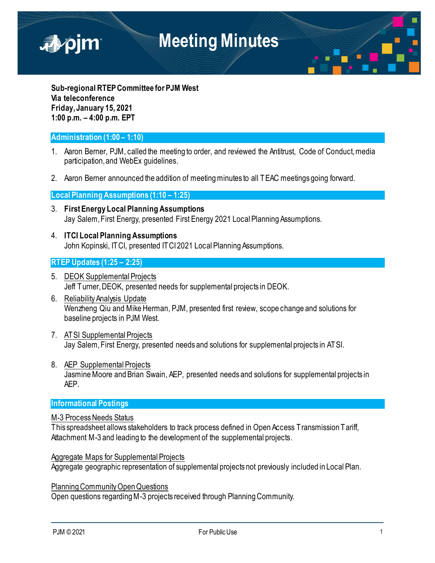

**Sub-regional RTEP Committee for PJM West Via teleconference Friday, January 15, 2021 1:00 p.m. – 4:00 p.m. EPT**

### **Administration (1:00 – 1:10)**

- 1. Aaron Berner, PJM, called the meeting to order, and reviewed the Antitrust, Code of Conduct, media participation, and WebEx guidelines.
- 2. Aaron Berner announced the addition of meeting minutes to all TEAC meetings going forward.

#### **Local Planning Assumptions (1:10 – 1:25)**

- 3. **First Energy Local Planning Assumptions** Jay Salem, First Energy, presented First Energy 2021 Local Planning Assumptions.
- 4. **ITCI Local Planning Assumptions** John Kopinski, ITCI, presented ITCI 2021 Local Planning Assumptions.

#### **RTEP Updates (1:25 – 2:25)**

- 5. DEOK Supplemental Projects Jeff Turner, DEOK, presented needs for supplemental projects in DEOK.
- 6. Reliability Analysis Update Wenzheng Qiu and Mike Herman, PJM, presented first review, scope change and solutions for baseline projects in PJM West.
- 7. ATSI Supplemental Projects Jay Salem, First Energy, presented needs and solutions for supplemental projects in ATSI.
- 8. AEP Supplemental Projects Jasmine Moore and Brian Swain, AEP, presented needs and solutions for supplemental projects in AEP.

#### **Informational Postings**

#### M-3 Process Needs Status

This spreadsheet allows stakeholders to track process defined in Open Access Transmission Tariff, Attachment M-3 and leading to the development of the supplemental projects.

Aggregate Maps for Supplemental Projects Aggregate geographic representation of supplemental projects not previously included in Local Plan.

Planning Community Open Questions Open questions regarding M-3 projects received through Planning Community.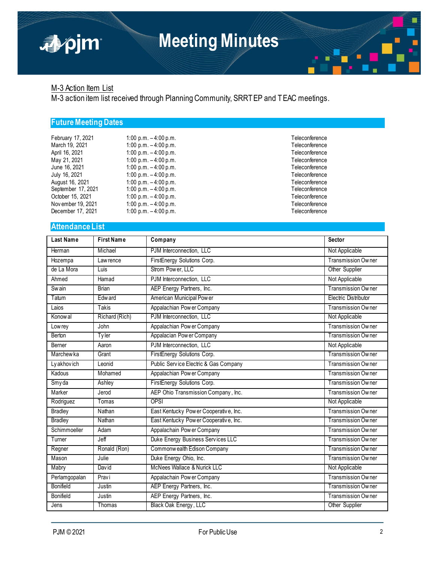

Teleconference Teleconference Teleconference Teleconference Teleconference Teleconference Teleconference Teleconference Teleconference Teleconference Teleconference

## M-3 Action Item List

apjm

M-3 action item list received through Planning Community, SRRTEP and TEAC meetings.

## **Future Meeting Dates**

| February 17, 2021  | 1:00 p.m. $-4:00$ p.m. |
|--------------------|------------------------|
| March 19, 2021     | 1:00 p.m. $-4:00$ p.m. |
| April 16, 2021     | 1:00 p.m. $-4:00$ p.m. |
| May 21, 2021       | 1:00 p.m. $-4:00$ p.m. |
| June 16, 2021      | 1:00 p.m. $-4:00$ p.m. |
| July 16, 2021      | 1:00 p.m. $-4:00$ p.m. |
| August 16, 2021    | 1:00 p.m. $-4:00$ p.m. |
| September 17, 2021 | 1:00 p.m. $-4:00$ p.m. |
| October 15, 2021   | 1:00 p.m. $-4:00$ p.m. |
| November 19, 2021  | 1:00 p.m. $-4:00$ p.m. |
| December 17, 2021  | 1:00 p.m. $-4:00$ p.m. |

#### **Attendance List**

| <b>Last Name</b> | <b>First Name</b> | Company                                | <b>Sector</b>             |
|------------------|-------------------|----------------------------------------|---------------------------|
| Herman           | Michael           | PJM Interconnection. LLC               | Not Applicable            |
| Hozempa          | Law rence         | FirstEnergy Solutions Corp.            | Transmission Owner        |
| de La Mora       | Luis              | Strom Power, LLC                       | Other Supplier            |
| Ahmed            | Hamad             | PJM Interconnection, LLC               | Not Applicable            |
| <b>Swain</b>     | <b>Brian</b>      | AEP Energy Partners, Inc.              | Transmission Owner        |
| Tatum            | Edw ard           | American Municipal Power               | Electric Distributor      |
| Laios            | Takis             | Appalachian Power Company              | Transmission Owner        |
| Konow al         | Richard (Rich)    | PJM Interconnection, LLC               | Not Applicable            |
| Lowrey           | John              | Appalachian Power Company              | <b>Transmission Owner</b> |
| Berton           | Tyler             | Appalacian Power Company               | Transmission Owner        |
| Berner           | Aaron             | PJM Interconnection, LLC               | Not Applicable            |
| <b>Marchewka</b> | Grant             | FirstEnergy Solutions Corp.            | <b>Transmission Owner</b> |
| Ly akhovich      | Leonid            | Public Service Electric & Gas Company  | Transmission Owner        |
| Kadous           | Mohamed           | Appalachian Pow er Company             | Transmission Owner        |
| Smyda            | Ashley            | FirstEnergy Solutions Corp.            | Transmission Owner        |
| Marker           | Jerod             | AEP Ohio Transmission Company, Inc.    | Transmission Owner        |
| Rodriguez        | Tomas             | <b>OPSI</b>                            | Not Applicable            |
| <b>Bradley</b>   | Nathan            | East Kentucky Pow er Cooperative, Inc. | Transmission Owner        |
| <b>Bradley</b>   | Nathan            | East Kentucky Power Cooperative, Inc.  | Transmission Owner        |
| Schimmoeller     | Adam              | Appalachain Pow er Company             | Transmission Owner        |
| Turner           | Jeff              | Duke Energy Business Services LLC      | Transmission Owner        |
| Regner           | Ronald (Ron)      | Commonwealth Edison Company            | Transmission Owner        |
| Mason            | Julie             | Duke Energy Ohio, Inc.                 | Transmission Owner        |
| Mabry            | Dav id            | McNees Wallace & Nurick LLC            | Not Applicable            |
| Perlamgopalan    | Pravi             | Appalachain Pow er Company             | Transmission Owner        |
| <b>Bonifield</b> | Justin            | AEP Energy Partners, Inc.              | <b>Transmission Owner</b> |
| Bonifield        | Justin            | AEP Energy Partners, Inc.              | Transmission Owner        |
| Jens             | Thomas            | Black Oak Energy, LLC                  | Other Supplier            |